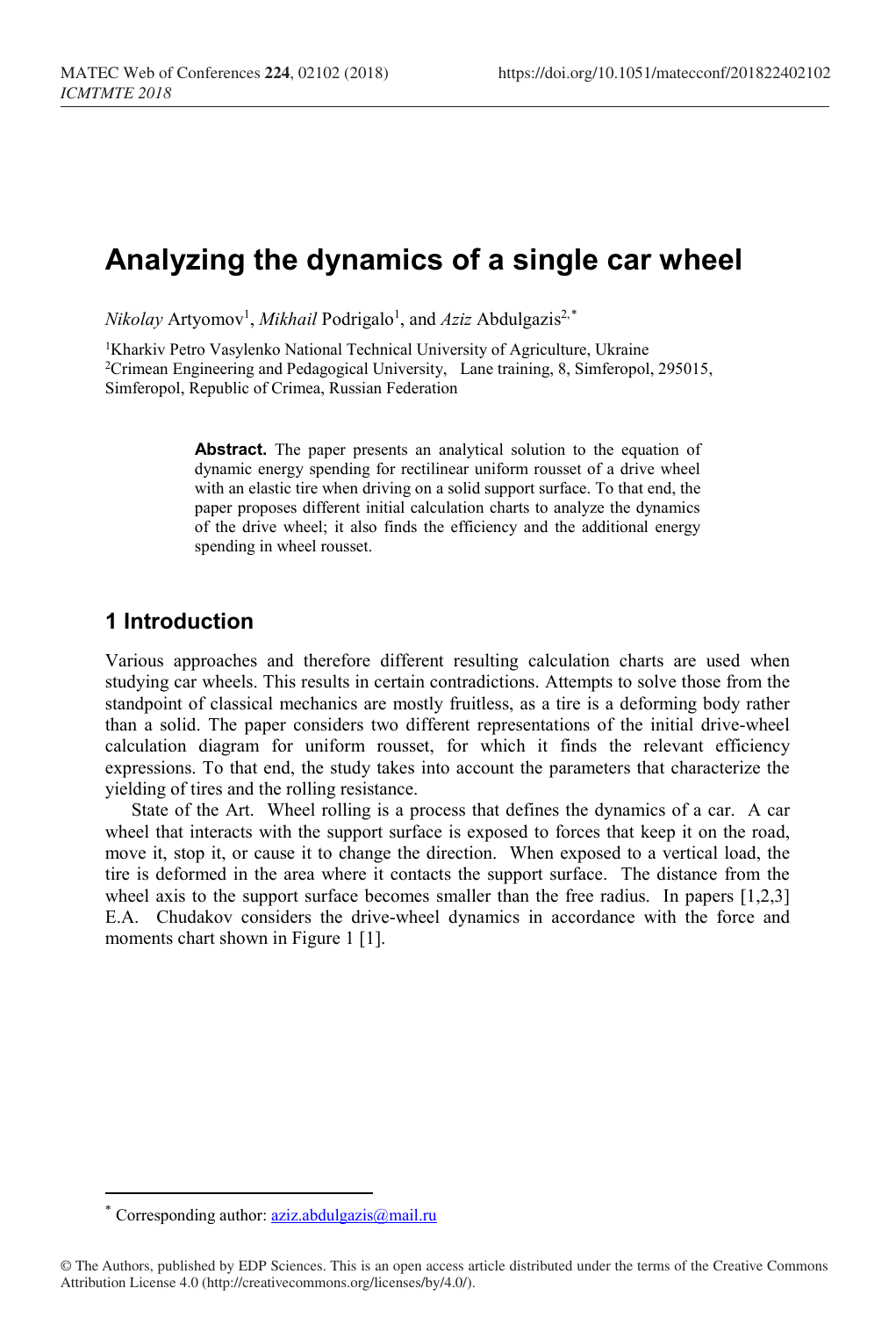# **Analyzing the dynamics of a single car wheel**

 $Nikolay$  Artyomov<sup>1</sup>, *Mikhail* Podrigalo<sup>1</sup>, and *Aziz* Abdulgazis<sup>2,\*</sup>

<sup>1</sup>Kharkiv Petro Vasylenko National Technical University of Agriculture, Ukraine <sup>2</sup>Crimean Engineering and Pedagogical University, Lane training, 8, Simferopol, 295015, Simferopol, Republic of Crimea, Russian Federation

> **Abstract.** The paper presents an analytical solution to the equation of dynamic energy spending for rectilinear uniform rousset of a drive wheel with an elastic tire when driving on a solid support surface. To that end, the paper proposes different initial calculation charts to analyze the dynamics of the drive wheel; it also finds the efficiency and the additional energy spending in wheel rousset.

## **1 Introduction**

Various approaches and therefore different resulting calculation charts are used when studying car wheels. This results in certain contradictions. Attempts to solve those from the standpoint of classical mechanics are mostly fruitless, as a tire is a deforming body rather than a solid. The paper considers two different representations of the initial drive-wheel calculation diagram for uniform rousset, for which it finds the relevant efficiency expressions. To that end, the study takes into account the parameters that characterize the yielding of tires and the rolling resistance.

State of the Art. Wheel rolling is a process that defines the dynamics of a car. A car wheel that interacts with the support surface is exposed to forces that keep it on the road, move it, stop it, or cause it to change the direction. When exposed to a vertical load, the tire is deformed in the area where it contacts the support surface. The distance from the wheel axis to the support surface becomes smaller than the free radius. In papers [1,2,3] E.A. Chudakov considers the drive-wheel dynamics in accordance with the force and moments chart shown in Figure 1 [1].

 $\overline{a}$ 

Corresponding author: [aziz.abdulgazis@mail.ru](mailto:aziz.abdulgazis@mail.ru)

<span id="page-0-0"></span><sup>©</sup> The Authors, published by EDP Sciences. This is an open access article distributed under the terms of the Creative Commons Attribution License 4.0 (http://creativecommons.org/licenses/by/4.0/).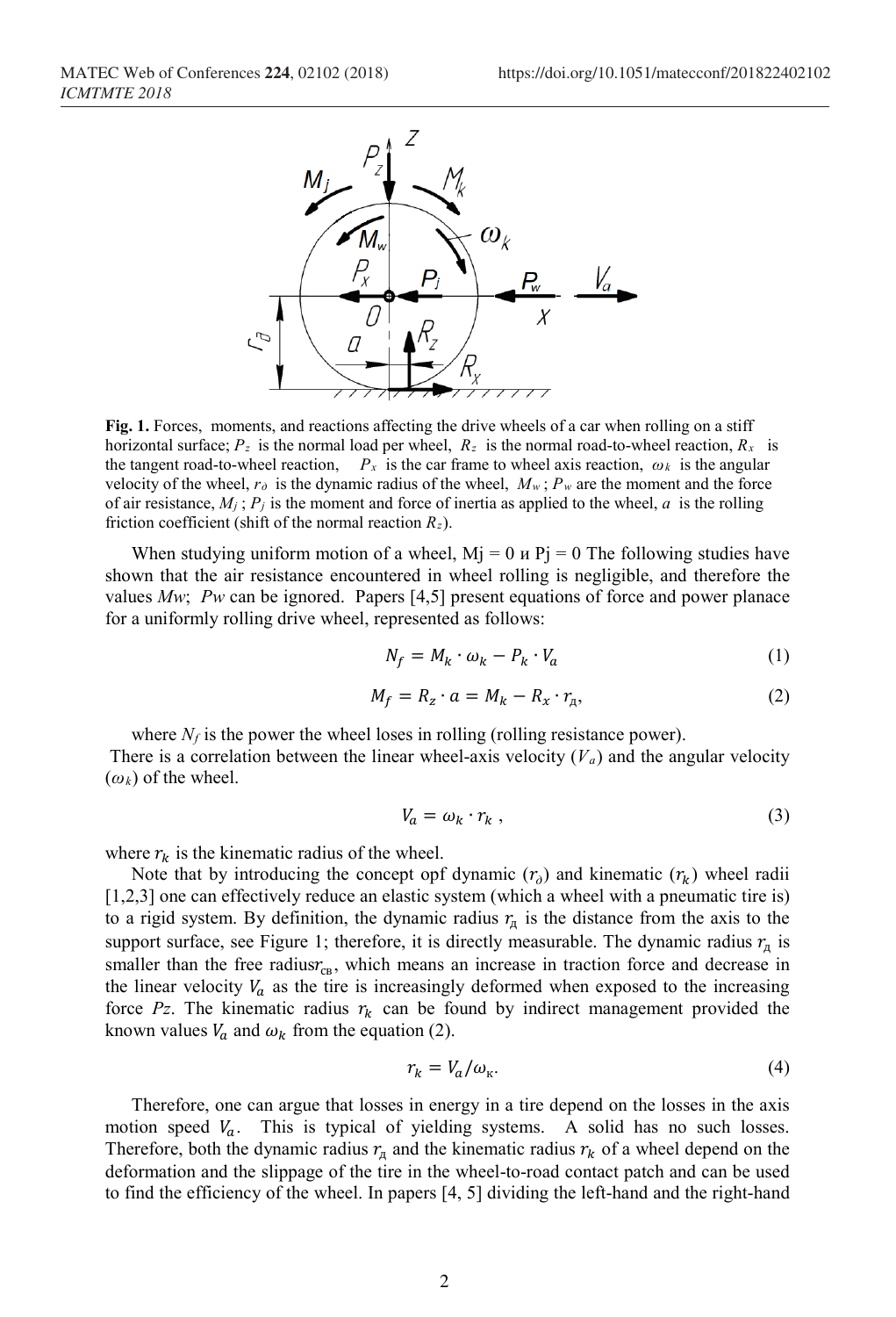

Fig. 1. Forces, moments, and reactions affecting the drive wheels of a car when rolling on a stiff horizontal surface;  $P_z$  is the normal load per wheel,  $R_z$  is the normal road-to-wheel reaction,  $R_x$  is the tangent road-to-wheel reaction,  $P_x$  is the car frame to wheel axis reaction,  $\omega_k$  is the angular velocity of the wheel,  $r_\theta$  is the dynamic radius of the wheel,  $M_w$ ;  $P_w$  are the moment and the force of air resistance,  $M_j$ ;  $P_j$  is the moment and force of inertia as applied to the wheel,  $a$  is the rolling friction coefficient (shift of the normal reaction *Rz*).

When studying uniform motion of a wheel,  $Mj = 0$   $\mu$  Pj = 0 The following studies have shown that the air resistance encountered in wheel rolling is negligible, and therefore the values *Mw*; *Pw* can be ignored. Papers [4,5] present equations of force and power planace for a uniformly rolling drive wheel, represented as follows:

$$
N_f = M_k \cdot \omega_k - P_k \cdot V_a \tag{1}
$$

$$
M_f = R_z \cdot a = M_k - R_x \cdot r_{\mu}, \qquad (2)
$$

where  $N_f$  is the power the wheel loses in rolling (rolling resistance power). There is a correlation between the linear wheel-axis velocity  $(V_a)$  and the angular velocity  $(\omega_k)$  of the wheel.

$$
V_a = \omega_k \cdot r_k \,, \tag{3}
$$

where  $r_k$  is the kinematic radius of the wheel.

Note that by introducing the concept opf dynamic  $(r_0)$  and kinematic  $(r_k)$  wheel radii [1,2,3] one can effectively reduce an elastic system (which a wheel with a pneumatic tire is) to a rigid system. By definition, the dynamic radius  $r<sub>π</sub>$  is the distance from the axis to the support surface, see Figure 1; therefore, it is directly measurable. The dynamic radius  $r_n$  is smaller than the free radius $r_{\text{cs}}$ , which means an increase in traction force and decrease in the linear velocity  $V_a$  as the tire is increasingly deformed when exposed to the increasing force  $Pz$ . The kinematic radius  $r_k$  can be found by indirect management provided the known values  $V_a$  and  $\omega_k$  from the equation (2).

$$
r_k = V_a / \omega_{\kappa}.
$$
 (4)

Therefore, one can argue that losses in energy in a tire depend on the losses in the axis motion speed  $V_a$ . This is typical of yielding systems. A solid has no such losses. Therefore, both the dynamic radius  $r_{\pi}$  and the kinematic radius  $r_{k}$  of a wheel depend on the deformation and the slippage of the tire in the wheel-to-road contact patch and can be used to find the efficiency of the wheel. In papers [4, 5] dividing the left-hand and the right-hand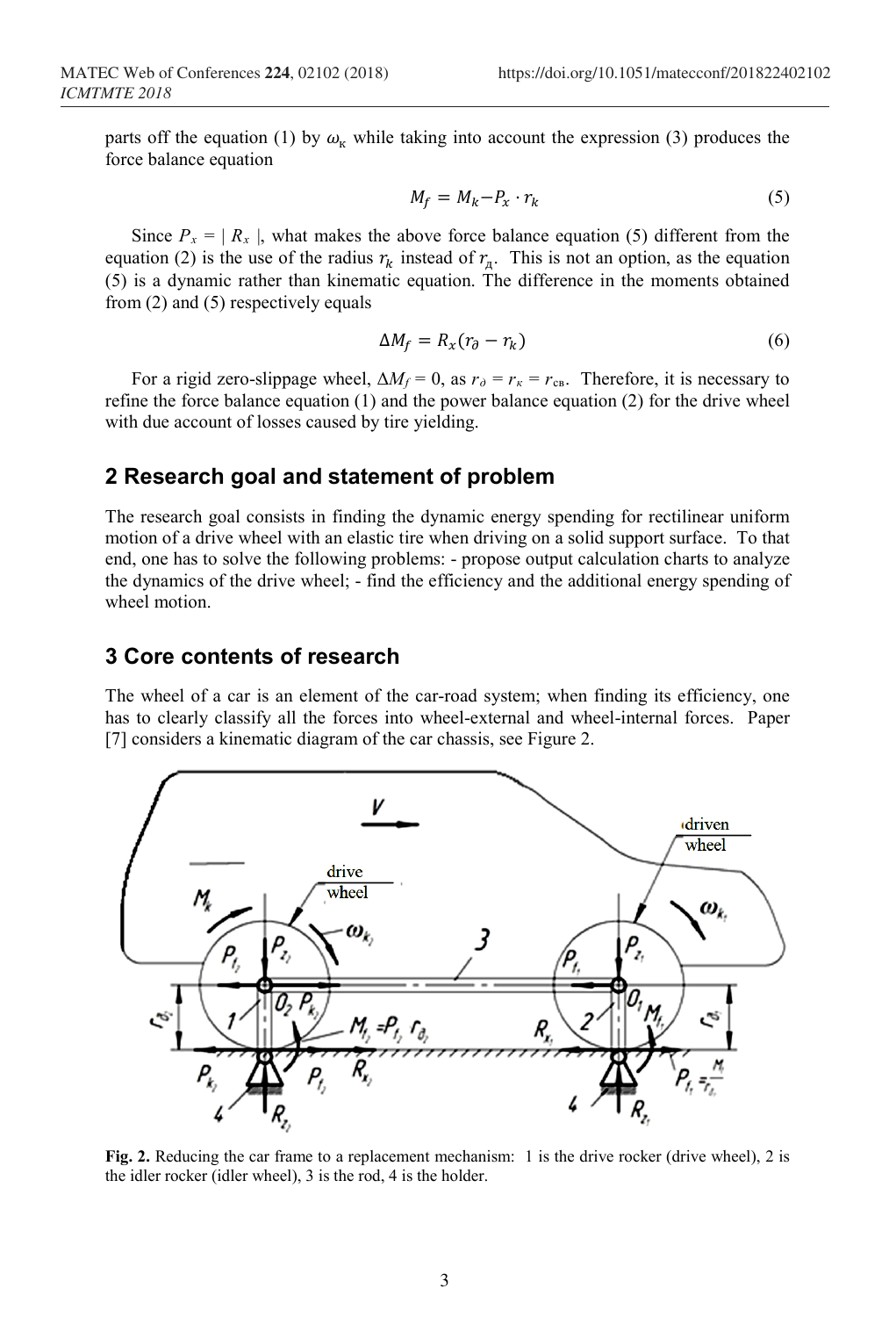parts off the equation (1) by  $\omega_{\kappa}$  while taking into account the expression (3) produces the force balance equation

$$
M_f = M_k - P_x \cdot r_k \tag{5}
$$

Since  $P_x = |R_x|$ , what makes the above force balance equation (5) different from the equation (2) is the use of the radius  $r_k$  instead of  $r_n$ . This is not an option, as the equation (5) is a dynamic rather than kinematic equation. The difference in the moments obtained from (2) and (5) respectively equals

$$
\Delta M_f = R_x (r_{\partial} - r_k) \tag{6}
$$

For a rigid zero-slippage wheel,  $\Delta M_f = 0$ , as  $r_\theta = r_\kappa = r_{\text{CB}}$ . Therefore, it is necessary to refine the force balance equation (1) and the power balance equation (2) for the drive wheel with due account of losses caused by tire yielding.

## **2 Research goal and statement of problem**

The research goal consists in finding the dynamic energy spending for rectilinear uniform motion of a drive wheel with an elastic tire when driving on a solid support surface. To that end, one has to solve the following problems: - propose output calculation charts to analyze the dynamics of the drive wheel; - find the efficiency and the additional energy spending of wheel motion.

## **3 Core contents of research**

The wheel of a car is an element of the car-road system; when finding its efficiency, one has to clearly classify all the forces into wheel-external and wheel-internal forces. Paper [7] considers a kinematic diagram of the car chassis, see Figure 2.



**Fig. 2.** Reducing the car frame to a replacement mechanism: 1 is the drive rocker (drive wheel), 2 is the idler rocker (idler wheel), 3 is the rod, 4 is the holder.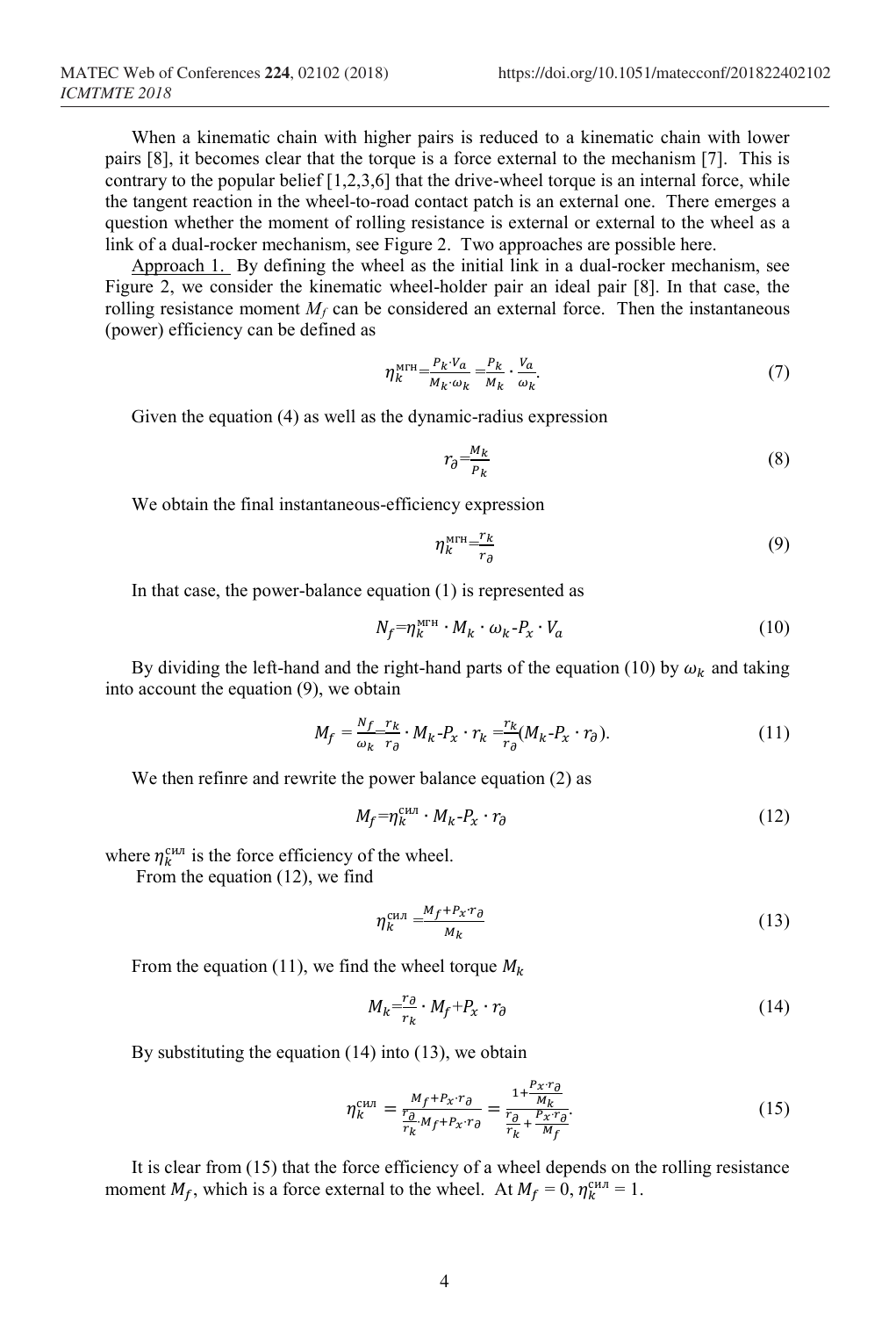When a kinematic chain with higher pairs is reduced to a kinematic chain with lower pairs [8], it becomes clear that the torque is a force external to the mechanism [7]. This is contrary to the popular belief [1,2,3,6] that the drive-wheel torque is an internal force, while the tangent reaction in the wheel-to-road contact patch is an external one. There emerges a question whether the moment of rolling resistance is external or external to the wheel as a link of a dual-rocker mechanism, see Figure 2. Two approaches are possible here.

Approach 1. By defining the wheel as the initial link in a dual-rocker mechanism, see Figure 2, we consider the kinematic wheel-holder pair an ideal pair [8]. In that case, the rolling resistance moment  $M_f$  can be considered an external force. Then the instantaneous (power) efficiency can be defined as

$$
\eta_k^{\text{MTH}} = \frac{P_k V_a}{M_k \omega_k} = \frac{P_k}{M_k} \cdot \frac{V_a}{\omega_k}.
$$
\n<sup>(7)</sup>

Given the equation (4) as well as the dynamic-radius expression

$$
r_{\partial} = \frac{M_k}{P_k} \tag{8}
$$

We obtain the final instantaneous-efficiency expression

$$
\eta_k^{\text{MTH}} = \frac{r_k}{r_\partial} \tag{9}
$$

In that case, the power-balance equation (1) is represented as

$$
N_f = \eta_k^{\text{MTH}} \cdot M_k \cdot \omega_k - P_x \cdot V_a \tag{10}
$$

By dividing the left-hand and the right-hand parts of the equation (10) by  $\omega_k$  and taking into account the equation (9), we obtain

$$
M_f = \frac{N_f}{\omega_k} \frac{r_k}{r_\partial} \cdot M_k - P_x \cdot r_k = \frac{r_k}{r_\partial} (M_k - P_x \cdot r_\partial). \tag{11}
$$

We then refinre and rewrite the power balance equation (2) as

$$
M_f = \eta_k^{\text{CHJ}} \cdot M_k - P_x \cdot r_\partial \tag{12}
$$

where  $\eta_k^{\text{can}}$  is the force efficiency of the wheel.

From the equation (12), we find

$$
\eta_k^{\text{CHJ}} = \frac{M_f + P_{\mathcal{X}} r_{\partial}}{M_k} \tag{13}
$$

From the equation (11), we find the wheel torque  $M_k$ 

$$
M_k = \frac{r_\partial}{r_k} \cdot M_f + P_\chi \cdot r_\partial \tag{14}
$$

By substituting the equation  $(14)$  into  $(13)$ , we obtain

$$
\eta_k^{\text{CHJ}} = \frac{M_f + P_X \cdot r_{\partial}}{r_R^2 M_f + P_X \cdot r_{\partial}} = \frac{1 + \frac{P_X \cdot r_{\partial}}{M_k}}{r_R^2 + \frac{P_X \cdot r_{\partial}}{M_f}}.\tag{15}
$$

It is clear from (15) that the force efficiency of a wheel depends on the rolling resistance moment  $M_f$ , which is a force external to the wheel. At  $M_f = 0$ ,  $\eta_k^{cm} = 1$ .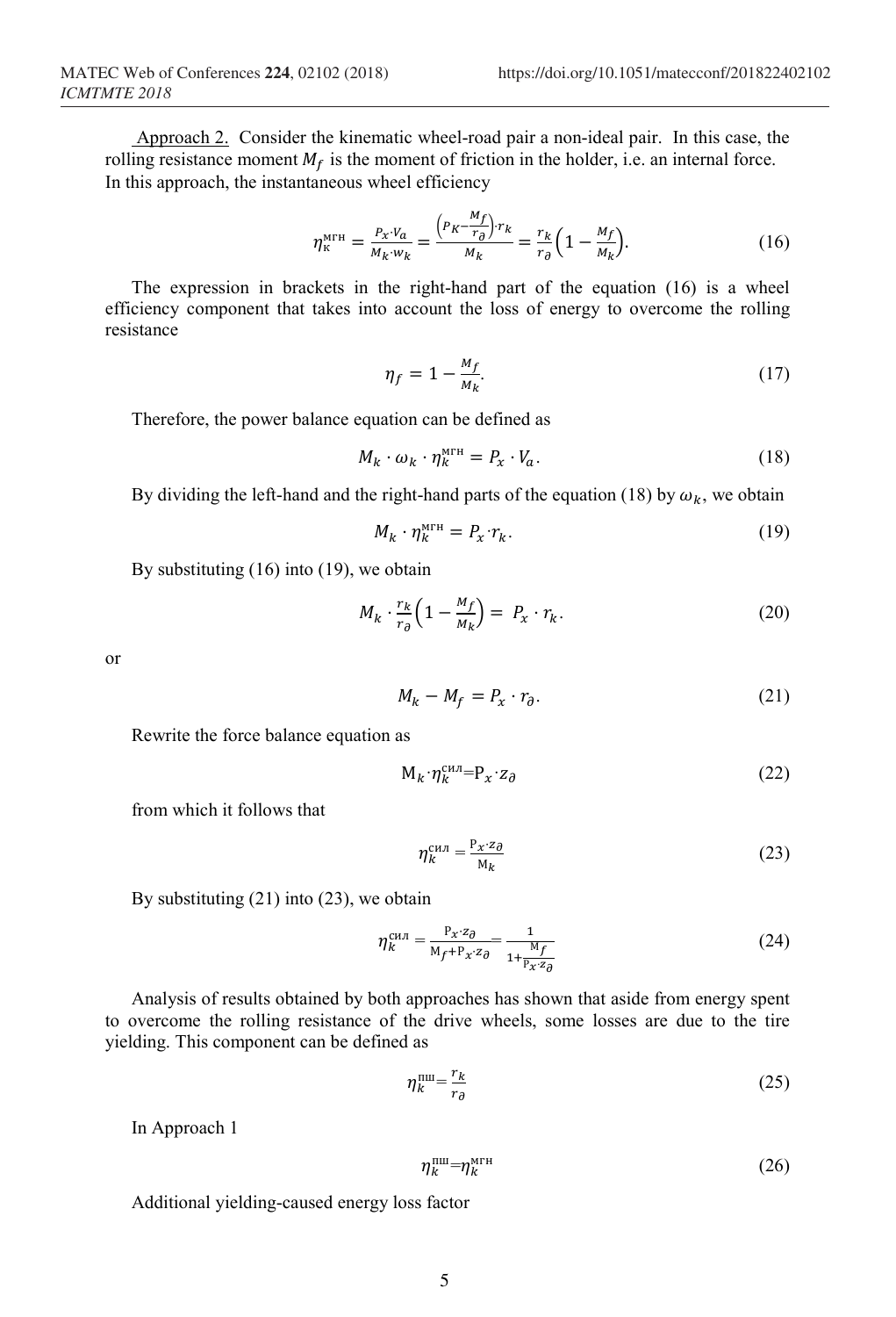$$
\eta_{\kappa}^{\text{MTH}} = \frac{P_{\chi} \cdot V_a}{M_k \cdot w_k} = \frac{\left(P_K - \frac{M_f}{r_{\partial}}\right) \cdot r_k}{M_k} = \frac{r_k}{r_{\partial}} \left(1 - \frac{M_f}{M_k}\right). \tag{16}
$$

The expression in brackets in the right-hand part of the equation (16) is a wheel efficiency component that takes into account the loss of energy to overcome the rolling resistance

$$
\eta_f = 1 - \frac{M_f}{M_k}.\tag{17}
$$

Therefore, the power balance equation can be defined as

$$
M_k \cdot \omega_k \cdot \eta_k^{\text{MTH}} = P_x \cdot V_a. \tag{18}
$$

By dividing the left-hand and the right-hand parts of the equation (18) by  $\omega_k$ , we obtain

$$
M_k \cdot \eta_k^{\text{MTH}} = P_x \cdot r_k. \tag{19}
$$

By substituting (16) into (19), we obtain

$$
M_k \cdot \frac{r_k}{r_\partial} \left( 1 - \frac{M_f}{M_k} \right) = P_x \cdot r_k. \tag{20}
$$

or

$$
M_k - M_f = P_x \cdot r_\partial. \tag{21}
$$

Rewrite the force balance equation as

$$
M_k \cdot \eta_k^{\text{c}} = P_x \cdot z_\partial \tag{22}
$$

from which it follows that

$$
\eta_k^{\text{CHJ}} = \frac{P_{\mathcal{X}} \cdot z_{\partial}}{M_k} \tag{23}
$$

By substituting 
$$
(21)
$$
 into  $(23)$ , we obtain

$$
\eta_k^{\text{CMI}} = \frac{P_x \cdot z_\partial}{M_f + P_x \cdot z_\partial} = \frac{1}{1 + \frac{M_f}{P_x \cdot z_\partial}}
$$
(24)

Analysis of results obtained by both approaches has shown that aside from energy spent to overcome the rolling resistance of the drive wheels, some losses are due to the tire yielding. This component can be defined as

$$
\eta_k^{\text{nu}} = \frac{r_k}{r_\partial} \tag{25}
$$

In Approach 1

$$
\eta_k^{\text{null}} = \eta_k^{\text{MTH}} \tag{26}
$$

Additional yielding-caused energy loss factor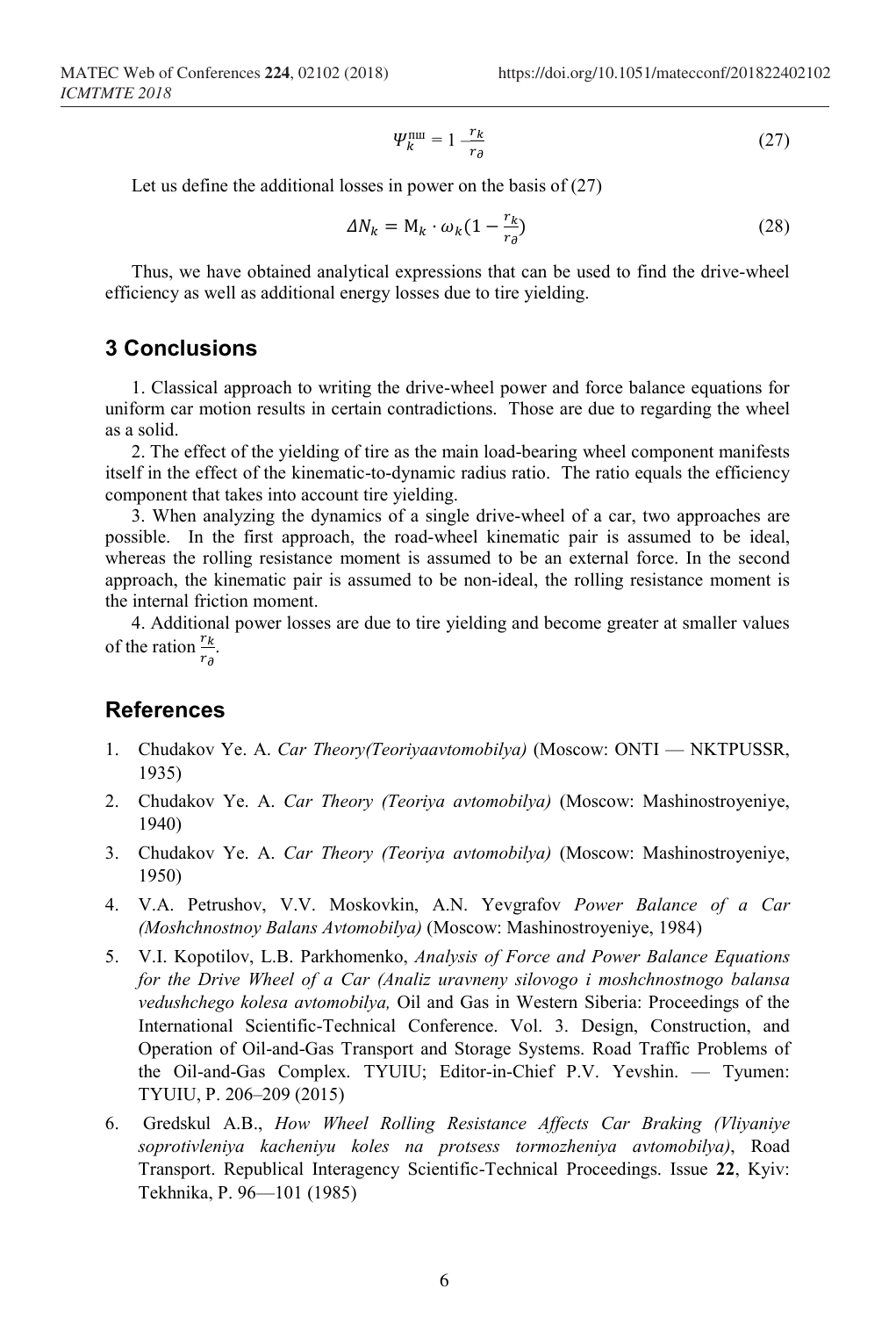$$
\Psi_k^{\text{nu}} = 1 - \frac{r_k}{r_\partial} \tag{27}
$$

Let us define the additional losses in power on the basis of (27)

$$
\Delta N_k = M_k \cdot \omega_k (1 - \frac{r_k}{r_{\partial}})
$$
\n(28)

Thus, we have obtained analytical expressions that can be used to find the drive-wheel efficiency as well as additional energy losses due to tire yielding.

#### **3 Conclusions**

1. Classical approach to writing the drive-wheel power and force balance equations for uniform car motion results in certain contradictions. Those are due to regarding the wheel as a solid.

2. The effect of the yielding of tire as the main load-bearing wheel component manifests itself in the effect of the kinematic-to-dynamic radius ratio. The ratio equals the efficiency component that takes into account tire yielding.

3. When analyzing the dynamics of a single drive-wheel of a car, two approaches are possible. In the first approach, the road-wheel kinematic pair is assumed to be ideal, whereas the rolling resistance moment is assumed to be an external force. In the second approach, the kinematic pair is assumed to be non-ideal, the rolling resistance moment is the internal friction moment.

4. Additional power losses are due to tire yielding and become greater at smaller values of the ration  $\frac{r_k}{r}$ .  $r_{\partial}$ 

#### **References**

- 1. Chudakov Ye. A. *Car Theory(Teoriyaavtomobilya)* (Moscow: ONTI NKTPUSSR, 1935)
- 2. Chudakov Ye. A. *Car Theory (Teoriya avtomobilya)* (Moscow: Mashinostroyeniye, 1940)
- 3. Chudakov Ye. A. *Car Theory (Teoriya avtomobilya)* (Moscow: Mashinostroyeniye, 1950)
- 4. V.A. Petrushov, V.V. Moskovkin, A.N. Yevgrafov *Power Balance of a Car (Moshchnostnoy Balans Avtomobilya)* (Moscow: Mashinostroyeniye, 1984)
- 5. V.I. Kopotilov, L.B. Parkhomenko, *Analysis of Force and Power Balance Equations for the Drive Wheel of a Car (Analiz uravneny silovogo i moshchnostnogo balansa vedushchego kolesa avtomobilya,* Oil and Gas in Western Siberia: Proceedings of the International Scientific-Technical Conference. Vol. 3. Design, Construction, and Operation of Oil-and-Gas Transport and Storage Systems. Road Traffic Problems of the Oil-and-Gas Complex. TYUIU; Editor-in-Chief P.V. Yevshin. — Tyumen: TYUIU, P. 206–209 (2015)
- 6. Gredskul A.B., *How Wheel Rolling Resistance Affects Car Braking (Vliyaniye soprotivleniya kacheniyu koles na protsess tormozheniya avtomobilya)*, Road Transport. Republical Interagency Scientific-Technical Proceedings. Issue **22**, Kyiv: Tekhnika, P. 96—101 (1985)